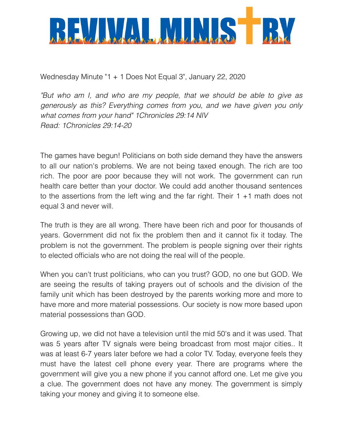

Wednesday Minute "1 + 1 Does Not Equal 3", January 22, 2020

*"But who am I, and who are my people, that we should be able to give as generously as this? Everything comes from you, and we have given you only what comes from your hand" 1Chronicles 29:14 NIV Read: 1Chronicles 29:14-20* 

The games have begun! Politicians on both side demand they have the answers to all our nation's problems. We are not being taxed enough. The rich are too rich. The poor are poor because they will not work. The government can run health care better than your doctor. We could add another thousand sentences to the assertions from the left wing and the far right. Their  $1 + 1$  math does not equal 3 and never will.

The truth is they are all wrong. There have been rich and poor for thousands of years. Government did not fix the problem then and it cannot fix it today. The problem is not the government. The problem is people signing over their rights to elected officials who are not doing the real will of the people.

When you can't trust politicians, who can you trust? GOD, no one but GOD. We are seeing the results of taking prayers out of schools and the division of the family unit which has been destroyed by the parents working more and more to have more and more material possessions. Our society is now more based upon material possessions than GOD.

Growing up, we did not have a television until the mid 50's and it was used. That was 5 years after TV signals were being broadcast from most major cities.. It was at least 6-7 years later before we had a color TV. Today, everyone feels they must have the latest cell phone every year. There are programs where the government will give you a new phone if you cannot afford one. Let me give you a clue. The government does not have any money. The government is simply taking your money and giving it to someone else.